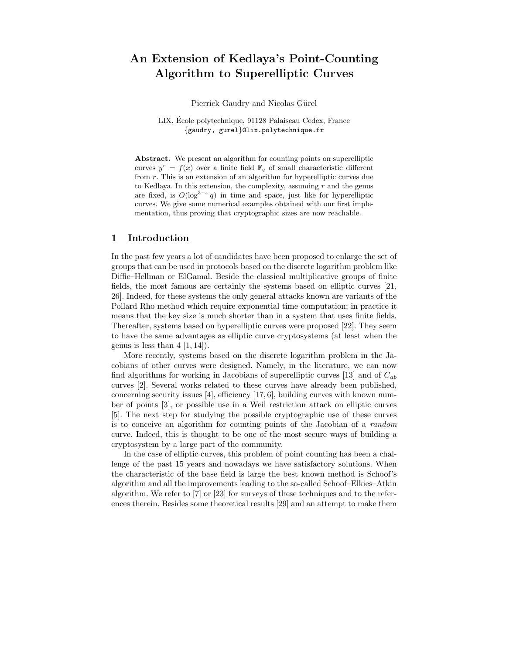# An Extension of Kedlaya's Point-Counting Algorithm to Superelliptic Curves

Pierrick Gaudry and Nicolas Gürel

LIX, École polytechnique, 91128 Palaiseau Cedex, France {gaudry, gurel}@lix.polytechnique.fr

Abstract. We present an algorithm for counting points on superelliptic curves  $y^r = f(x)$  over a finite field  $\mathbb{F}_q$  of small characteristic different from r. This is an extension of an algorithm for hyperelliptic curves due to Kedlaya. In this extension, the complexity, assuming  $r$  and the genus are fixed, is  $O(\log^{3+\epsilon} q)$  in time and space, just like for hyperelliptic curves. We give some numerical examples obtained with our first implementation, thus proving that cryptographic sizes are now reachable.

# 1 Introduction

In the past few years a lot of candidates have been proposed to enlarge the set of groups that can be used in protocols based on the discrete logarithm problem like Diffie–Hellman or ElGamal. Beside the classical multiplicative groups of finite fields, the most famous are certainly the systems based on elliptic curves [21, 26]. Indeed, for these systems the only general attacks known are variants of the Pollard Rho method which require exponential time computation; in practice it means that the key size is much shorter than in a system that uses finite fields. Thereafter, systems based on hyperelliptic curves were proposed [22]. They seem to have the same advantages as elliptic curve cryptosystems (at least when the genus is less than  $4 \; [1, 14]$ .

More recently, systems based on the discrete logarithm problem in the Jacobians of other curves were designed. Namely, in the literature, we can now find algorithms for working in Jacobians of superelliptic curves [13] and of  $C_{ab}$ curves [2]. Several works related to these curves have already been published, concerning security issues  $[4]$ , efficiency  $[17, 6]$ , building curves with known number of points [3], or possible use in a Weil restriction attack on elliptic curves [5]. The next step for studying the possible cryptographic use of these curves is to conceive an algorithm for counting points of the Jacobian of a random curve. Indeed, this is thought to be one of the most secure ways of building a cryptosystem by a large part of the community.

In the case of elliptic curves, this problem of point counting has been a challenge of the past 15 years and nowadays we have satisfactory solutions. When the characteristic of the base field is large the best known method is Schoof's algorithm and all the improvements leading to the so-called Schoof–Elkies–Atkin algorithm. We refer to [7] or [23] for surveys of these techniques and to the references therein. Besides some theoretical results [29] and an attempt to make them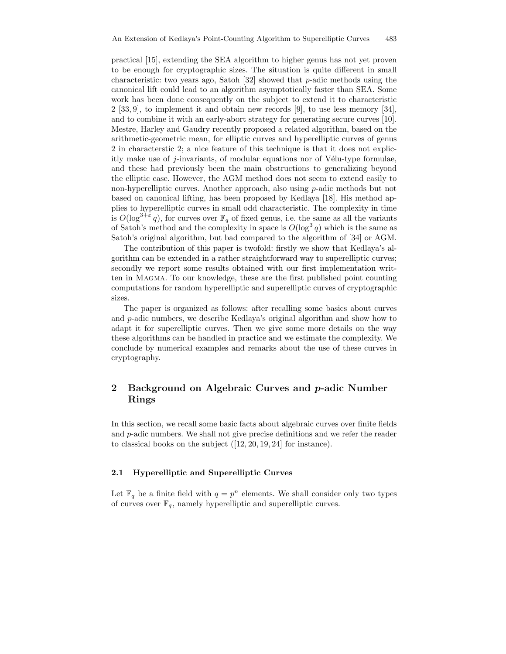practical [15], extending the SEA algorithm to higher genus has not yet proven to be enough for cryptographic sizes. The situation is quite different in small characteristic: two years ago, Satoh  $[32]$  showed that p-adic methods using the canonical lift could lead to an algorithm asymptotically faster than SEA. Some work has been done consequently on the subject to extend it to characteristic 2 [33, 9], to implement it and obtain new records [9], to use less memory [34], and to combine it with an early-abort strategy for generating secure curves [10]. Mestre, Harley and Gaudry recently proposed a related algorithm, based on the arithmetic-geometric mean, for elliptic curves and hyperelliptic curves of genus 2 in characterstic 2; a nice feature of this technique is that it does not explicitly make use of  $j$ -invariants, of modular equations nor of Vélu-type formulae, and these had previously been the main obstructions to generalizing beyond the elliptic case. However, the AGM method does not seem to extend easily to non-hyperelliptic curves. Another approach, also using p-adic methods but not based on canonical lifting, has been proposed by Kedlaya [18]. His method applies to hyperelliptic curves in small odd characteristic. The complexity in time is  $O(\log^{3+\epsilon} q)$ , for curves over  $\mathbb{F}_q$  of fixed genus, i.e. the same as all the variants of Satoh's method and the complexity in space is  $O(\log^3 q)$  which is the same as Satoh's original algorithm, but bad compared to the algorithm of [34] or AGM.

The contribution of this paper is twofold: firstly we show that Kedlaya's algorithm can be extended in a rather straightforward way to superelliptic curves; secondly we report some results obtained with our first implementation written in Magma. To our knowledge, these are the first published point counting computations for random hyperelliptic and superelliptic curves of cryptographic sizes.

The paper is organized as follows: after recalling some basics about curves and p-adic numbers, we describe Kedlaya's original algorithm and show how to adapt it for superelliptic curves. Then we give some more details on the way these algorithms can be handled in practice and we estimate the complexity. We conclude by numerical examples and remarks about the use of these curves in cryptography.

# 2 Background on Algebraic Curves and *p*-adic Number Rings

In this section, we recall some basic facts about algebraic curves over finite fields and p-adic numbers. We shall not give precise definitions and we refer the reader to classical books on the subject ([12, 20, 19, 24] for instance).

### 2.1 Hyperelliptic and Superelliptic Curves

Let  $\mathbb{F}_q$  be a finite field with  $q = p^n$  elements. We shall consider only two types of curves over  $\mathbb{F}_q$ , namely hyperelliptic and superelliptic curves.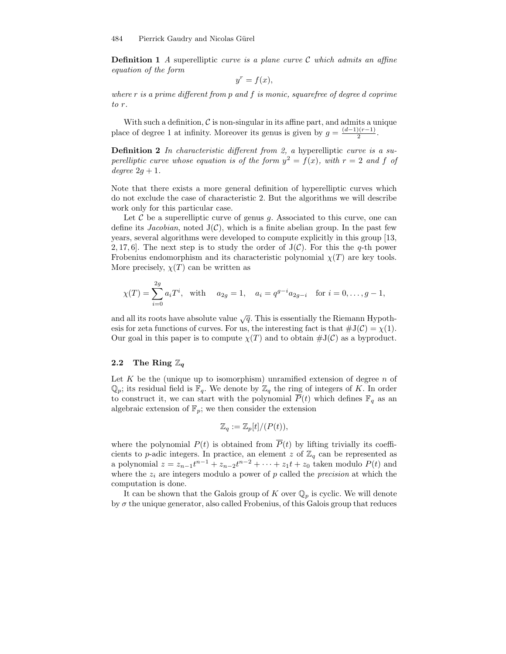**Definition 1** A superelliptic curve is a plane curve  $\mathcal C$  which admits an affine equation of the form

$$
y^r = f(x),
$$

where  $r$  is a prime different from  $p$  and  $f$  is monic, squarefree of degree  $d$  coprime to r.

With such a definition,  $\mathcal C$  is non-singular in its affine part, and admits a unique place of degree 1 at infinity. Moreover its genus is given by  $g = \frac{(d-1)(r-1)}{2}$  $\frac{r-1}{2}$ .

Definition 2 In characteristic different from 2, a hyperelliptic curve is a superelliptic curve whose equation is of the form  $y^2 = f(x)$ , with  $r = 2$  and f of degree  $2g + 1$ .

Note that there exists a more general definition of hyperelliptic curves which do not exclude the case of characteristic 2. But the algorithms we will describe work only for this particular case.

Let  $\mathcal C$  be a superelliptic curve of genus q. Associated to this curve, one can define its *Jacobian*, noted  $J(\mathcal{C})$ , which is a finite abelian group. In the past few years, several algorithms were developed to compute explicitly in this group [13, 2, 17, 6. The next step is to study the order of  $J(\mathcal{C})$ . For this the q-th power Frobenius endomorphism and its characteristic polynomial  $\chi(T)$  are key tools. More precisely,  $\chi(T)$  can be written as

$$
\chi(T) = \sum_{i=0}^{2g} a_i T^i
$$
, with  $a_{2g} = 1$ ,  $a_i = q^{g-i} a_{2g-i}$  for  $i = 0, ..., g-1$ ,

and all its roots have absolute value  $\sqrt{q}$ . This is essentially the Riemann Hypothesis for zeta functions of curves. For us, the interesting fact is that  $\#J(\mathcal{C}) = \chi(1)$ . Our goal in this paper is to compute  $\chi(T)$  and to obtain  $\#J(\mathcal{C})$  as a byproduct.

### 2.2 The Ring  $\mathbb{Z}_q$

Let K be the (unique up to isomorphism) unramified extension of degree  $n$  of  $\mathbb{Q}_p$ ; its residual field is  $\mathbb{F}_q$ . We denote by  $\mathbb{Z}_q$  the ring of integers of K. In order to construct it, we can start with the polynomial  $\overline{P}(t)$  which defines  $\mathbb{F}_q$  as an algebraic extension of  $\mathbb{F}_p$ ; we then consider the extension

$$
\mathbb{Z}_q := \mathbb{Z}_p[t]/(P(t)),
$$

where the polynomial  $P(t)$  is obtained from  $\overline{P}(t)$  by lifting trivially its coefficients to p-adic integers. In practice, an element z of  $\mathbb{Z}_q$  can be represented as a polynomial  $z = z_{n-1}t^{n-1} + z_{n-2}t^{n-2} + \cdots + z_1t + z_0$  taken modulo  $P(t)$  and where the  $z_i$  are integers modulo a power of p called the precision at which the computation is done.

It can be shown that the Galois group of K over  $\mathbb{Q}_p$  is cyclic. We will denote by  $\sigma$  the unique generator, also called Frobenius, of this Galois group that reduces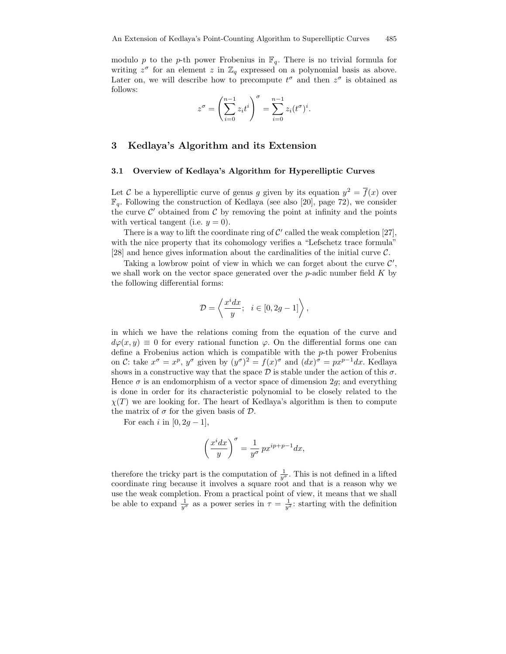modulo p to the p-th power Frobenius in  $\mathbb{F}_q$ . There is no trivial formula for writing  $z^{\sigma}$  for an element z in  $\mathbb{Z}_q$  expressed on a polynomial basis as above. Later on, we will describe how to precompute  $t^{\sigma}$  and then  $z^{\sigma}$  is obtained as follows:

$$
z^{\sigma} = \left(\sum_{i=0}^{n-1} z_i t^i\right)^{\sigma} = \sum_{i=0}^{n-1} z_i (t^{\sigma})^i.
$$

# 3 Kedlaya's Algorithm and its Extension

### 3.1 Overview of Kedlaya's Algorithm for Hyperelliptic Curves

Let C be a hyperelliptic curve of genus g given by its equation  $y^2 = \overline{f}(x)$  over  $\mathbb{F}_q$ . Following the construction of Kedlaya (see also [20], page 72), we consider the curve  $\mathcal{C}'$  obtained from  $\mathcal{C}$  by removing the point at infinity and the points with vertical tangent (i.e.  $y = 0$ ).

There is a way to lift the coordinate ring of  $\mathcal{C}'$  called the weak completion [27], with the nice property that its cohomology verifies a "Lefschetz trace formula" [28] and hence gives information about the cardinalities of the initial curve C.

Taking a low<br>brow point of view in which we can forget about the curve<br>  $\mathcal{C}',$ we shall work on the vector space generated over the  $p$ -adic number field  $K$  by the following differential forms:

$$
\mathcal{D} = \left\langle \frac{x^i dx}{y}; \quad i \in [0, 2g - 1] \right\rangle,
$$

in which we have the relations coming from the equation of the curve and  $d\varphi(x, y) \equiv 0$  for every rational function  $\varphi$ . On the differential forms one can define a Frobenius action which is compatible with the p-th power Frobenius on C: take  $x^{\sigma} = x^p$ ,  $y^{\sigma}$  given by  $(y^{\sigma})^2 = f(x)^{\sigma}$  and  $(dx)^{\sigma} = px^{p-1}dx$ . Kedlaya shows in a constructive way that the space  $\mathcal D$  is stable under the action of this  $\sigma$ . Hence  $\sigma$  is an endomorphism of a vector space of dimension 2g; and everything is done in order for its characteristic polynomial to be closely related to the  $\chi(T)$  we are looking for. The heart of Kedlaya's algorithm is then to compute the matrix of  $\sigma$  for the given basis of  $\mathcal{D}$ .

For each i in  $[0, 2g - 1]$ ,

$$
\left(\frac{x^idx}{y}\right)^\sigma = \frac{1}{y^\sigma}\,px^{ip+p-1}dx,
$$

therefore the tricky part is the computation of  $\frac{1}{y^{\sigma}}$ . This is not defined in a lifted coordinate ring because it involves a square root and that is a reason why we use the weak completion. From a practical point of view, it means that we shall be able to expand  $\frac{1}{y^{\sigma}}$  as a power series in  $\tau = \frac{1}{y^2}$ : starting with the definition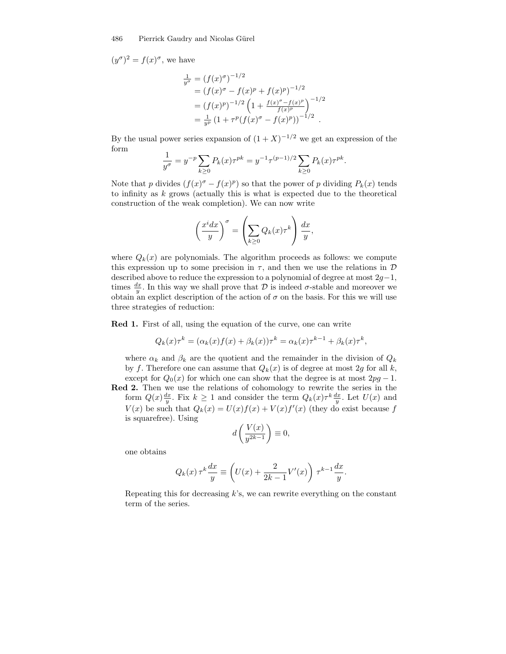$(y^{\sigma})^2 = f(x)^{\sigma}$ , we have

$$
\frac{1}{y^{\sigma}} = (f(x)^{\sigma})^{-1/2}
$$
\n
$$
= (f(x)^{\sigma} - f(x)^{p} + f(x)^{p})^{-1/2}
$$
\n
$$
= (f(x)^{p})^{-1/2} \left(1 + \frac{f(x)^{\sigma} - f(x)^{p}}{f(x)^{p}}\right)^{-1/2}
$$
\n
$$
= \frac{1}{y^{p}} \left(1 + \tau^{p}(f(x)^{\sigma} - f(x)^{p})\right)^{-1/2} .
$$

By the usual power series expansion of  $(1 + X)^{-1/2}$  we get an expression of the form

$$
\frac{1}{y^{\sigma}} = y^{-p} \sum_{k \ge 0} P_k(x) \tau^{pk} = y^{-1} \tau^{(p-1)/2} \sum_{k \ge 0} P_k(x) \tau^{pk}.
$$

Note that p divides  $(f(x)^{\sigma} - f(x)^p)$  so that the power of p dividing  $P_k(x)$  tends to infinity as k grows (actually this is what is expected due to the theoretical construction of the weak completion). We can now write

$$
\left(\frac{x^i dx}{y}\right)^{\sigma} = \left(\sum_{k\geq 0} Q_k(x)\tau^k\right) \frac{dx}{y},
$$

where  $Q_k(x)$  are polynomials. The algorithm proceeds as follows: we compute this expression up to some precision in  $\tau$ , and then we use the relations in  $\mathcal D$ described above to reduce the expression to a polynomial of degree at most 2g−1, times  $\frac{dx}{y}$ . In this way we shall prove that  $\mathcal{D}$  is indeed  $\sigma$ -stable and moreover we obtain an explict description of the action of  $\sigma$  on the basis. For this we will use three strategies of reduction:

Red 1. First of all, using the equation of the curve, one can write

$$
Q_k(x)\tau^k = (\alpha_k(x)f(x) + \beta_k(x))\tau^k = \alpha_k(x)\tau^{k-1} + \beta_k(x)\tau^k,
$$

where  $\alpha_k$  and  $\beta_k$  are the quotient and the remainder in the division of  $Q_k$ by f. Therefore one can assume that  $Q_k(x)$  is of degree at most 2g for all k, except for  $Q_0(x)$  for which one can show that the degree is at most  $2pq-1$ .

Red 2. Then we use the relations of cohomology to rewrite the series in the form  $Q(x) \frac{dx}{y}$ . Fix  $k \ge 1$  and consider the term  $Q_k(x) \tau^k \frac{dx}{y}$ . Let  $U(x)$  and  $V(x)$  be such that  $Q_k(x) = U(x)f(x) + V(x)f'(x)$  (they do exist because f is squarefree). Using

$$
d\left(\frac{V(x)}{y^{2k-1}}\right) \equiv 0,
$$

one obtains

$$
Q_k(x)\,\tau^k\frac{dx}{y}\equiv \left(U(x)+\frac{2}{2k-1}V'(x)\right)\,\tau^{k-1}\frac{dx}{y}
$$

.

Repeating this for decreasing  $k$ 's, we can rewrite everything on the constant term of the series.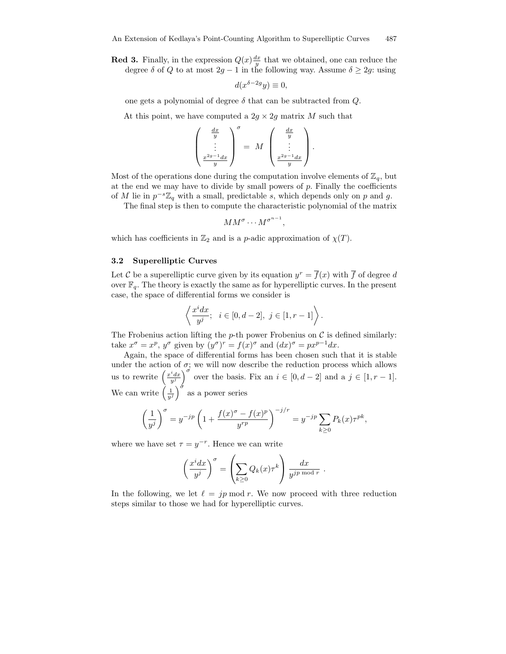**Red 3.** Finally, in the expression  $Q(x) \frac{dx}{y}$  that we obtained, one can reduce the degree  $\delta$  of  $Q$  to at most  $2g - 1$  in the following way. Assume  $\delta \geq 2g$ : using

$$
d(x^{\delta - 2g}y) \equiv 0,
$$

one gets a polynomial of degree  $\delta$  that can be subtracted from  $Q$ .

At this point, we have computed a  $2g \times 2g$  matrix M such that

$$
\begin{pmatrix}\n\frac{dx}{y} \\
\vdots \\
\frac{x^{2g-1}dx}{y}\n\end{pmatrix}^{\sigma} = M \begin{pmatrix}\n\frac{dx}{y} \\
\vdots \\
\frac{x^{2g-1}dx}{y}\n\end{pmatrix}.
$$

Most of the operations done during the computation involve elements of  $\mathbb{Z}_q$ , but at the end we may have to divide by small powers of  $p$ . Finally the coefficients of M lie in  $p^{-s}\mathbb{Z}_q$  with a small, predictable s, which depends only on p and g.

The final step is then to compute the characteristic polynomial of the matrix

$$
MM^{\sigma}\cdots M^{\sigma^{n-1}},
$$

which has coefficients in  $\mathbb{Z}_2$  and is a p-adic approximation of  $\chi(T)$ .

#### 3.2 Superelliptic Curves

Let C be a superelliptic curve given by its equation  $y^r = \overline{f}(x)$  with  $\overline{f}$  of degree d over  $\mathbb{F}_q$ . The theory is exactly the same as for hyperelliptic curves. In the present case, the space of differential forms we consider is

$$
\left\langle \frac{x^idx}{y^j};\ \ i\in[0,d-2],\ j\in[1,r-1]\right\rangle.
$$

The Frobenius action lifting the p-th power Frobenius on  $\mathcal C$  is defined similarly: take  $x^{\sigma} = x^p$ ,  $y^{\sigma}$  given by  $(y^{\sigma})^r = f(x)^{\sigma}$  and  $(dx)^{\sigma} = px^{p-1}dx$ .

Again, the space of differential forms has been chosen such that it is stable under the action of  $\sigma$ ; we will now describe the reduction process which allows us to rewrite  $\left(\frac{x^i dx}{y^j}\right)$  $\int_{0}^{\sigma}$  over the basis. Fix an  $i \in [0, d-2]$  and a  $j \in [1, r-1]$ . We can write  $\left(\frac{1}{y^j}\right)$  $\int_{0}^{\dot{\sigma}}$  as a power series

$$
\left(\frac{1}{y^j}\right)^{\sigma} = y^{-jp} \left(1 + \frac{f(x)^{\sigma} - f(x)^p}{y^{rp}}\right)^{-j/r} = y^{-jp} \sum_{k \ge 0} P_k(x) \tau^{pk},
$$

where we have set  $\tau = y^{-r}$ . Hence we can write

$$
\left(\frac{x^i dx}{y^j}\right)^{\sigma} = \left(\sum_{k\geq 0} Q_k(x)\tau^k\right) \frac{dx}{y^{jp \bmod r}}.
$$

In the following, we let  $\ell = ip \mod r$ . We now proceed with three reduction steps similar to those we had for hyperelliptic curves.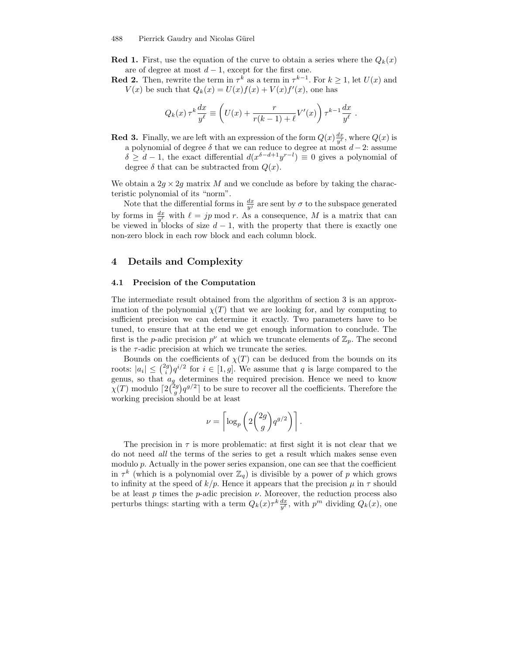- **Red 1.** First, use the equation of the curve to obtain a series where the  $Q_k(x)$ are of degree at most  $d-1$ , except for the first one.
- **Red 2.** Then, rewrite the term in  $\tau^k$  as a term in  $\tau^{k-1}$ . For  $k \geq 1$ , let  $U(x)$  and  $V(x)$  be such that  $Q_k(x) = U(x)f(x) + V(x)f'(x)$ , one has

$$
Q_k(x)\,\tau^k\frac{dx}{y^{\ell}}\equiv \left(U(x)+\frac{r}{r(k-1)+\ell}V'(x)\right)\tau^{k-1}\frac{dx}{y^{\ell}}.
$$

**Red 3.** Finally, we are left with an expression of the form  $Q(x) \frac{dx}{y^{\ell}}$ , where  $Q(x)$  is a polynomial of degree  $\delta$  that we can reduce to degree at most  $d-2$ : assume  $\delta \geq d-1$ , the exact differential  $d(x^{\delta-d+1}y^{r-l}) \equiv 0$  gives a polynomial of degree  $\delta$  that can be subtracted from  $Q(x)$ .

We obtain a  $2g \times 2g$  matrix M and we conclude as before by taking the characteristic polynomial of its "norm".

Note that the differential forms in  $\frac{dx}{y^j}$  are sent by  $\sigma$  to the subspace generated by forms in  $\frac{dx}{y^{\ell}}$  with  $\ell = jp \mod r$ . As a consequence, M is a matrix that can be viewed in blocks of size  $d-1$ , with the property that there is exactly one non-zero block in each row block and each column block.

### 4 Details and Complexity

#### 4.1 Precision of the Computation

The intermediate result obtained from the algorithm of section 3 is an approximation of the polynomial  $\chi(T)$  that we are looking for, and by computing to sufficient precision we can determine it exactly. Two parameters have to be tuned, to ensure that at the end we get enough information to conclude. The first is the *p*-adic precision  $p^{\nu}$  at which we truncate elements of  $\mathbb{Z}_p$ . The second is the  $\tau$ -adic precision at which we truncate the series.

Bounds on the coefficients of  $\chi(T)$  can be deduced from the bounds on its roots:  $|a_i| \leq {2g \choose i} q^{i/2}$  for  $i \in [1, g]$ . We assume that q is large compared to the genus, so that  $a_g$  determines the required precision. Hence we need to know  $\chi(T)$  modulo  $\lceil 2\binom{2g}{g}q^{g/2}\rceil$  to be sure to recover all the coefficients. Therefore the working precision should be at least

$$
\nu = \left\lceil \log_p \left( 2 \binom{2g}{g} q^{g/2} \right) \right\rceil.
$$

The precision in  $\tau$  is more problematic: at first sight it is not clear that we do not need all the terms of the series to get a result which makes sense even modulo  $p$ . Actually in the power series expansion, one can see that the coefficient in  $\tau^k$  (which is a polynomial over  $\mathbb{Z}_q$ ) is divisible by a power of p which grows to infinity at the speed of  $k/p$ . Hence it appears that the precision  $\mu$  in  $\tau$  should be at least p times the p-adic precision  $\nu$ . Moreover, the reduction process also perturbs things: starting with a term  $Q_k(x) \tau^k \frac{dx}{y^{\ell}}$ , with  $p^m$  dividing  $Q_k(x)$ , one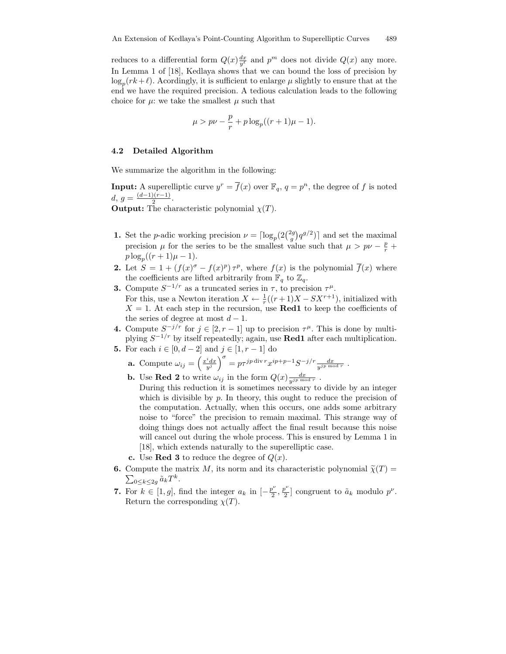reduces to a differential form  $Q(x) \frac{dx}{y^{\ell}}$  and  $p^m$  does not divide  $Q(x)$  any more. In Lemma 1 of [18], Kedlaya shows that we can bound the loss of precision by  $\log_p(r k + \ell)$ . Acordingly, it is sufficient to enlarge  $\mu$  slightly to ensure that at the end we have the required precision. A tedious calculation leads to the following choice for  $\mu$ : we take the smallest  $\mu$  such that

$$
\mu > p\nu - \frac{p}{r} + p \log_p((r+1)\mu - 1).
$$

### 4.2 Detailed Algorithm

We summarize the algorithm in the following:

**Input:** A superelliptic curve  $y^r = \overline{f}(x)$  over  $\mathbb{F}_q$ ,  $q = p^n$ , the degree of f is noted  $d, g = \frac{(d-1)(r-1)}{2}$  $\frac{r-1}{2}$ .

**Output:** The characteristic polynomial  $\chi(T)$ .

- **1.** Set the *p*-adic working precision  $\nu = \lceil \log_p(2\binom{2g}{g}q^{g/2}) \rceil$  and set the maximal precision  $\mu$  for the series to be the smallest value such that  $\mu > p\nu - \frac{p}{r} + \frac{p}{r}$  $p \log_p((r+1)\mu-1).$
- **2.** Let  $S = 1 + (f(x)^{\sigma} f(x)^{p}) \tau^{p}$ , where  $f(x)$  is the polynomial  $\overline{f}(x)$  where the coefficients are lifted arbitrarily from  $\mathbb{F}_q$  to  $\mathbb{Z}_q$ .
- **3.** Compute  $S^{-1/r}$  as a truncated series in  $\tau$ , to precision  $\tau^{\mu}$ . For this, use a Newton iteration  $X \leftarrow \frac{1}{r}((r+1)X - SX^{r+1})$ , initialized with  $X = 1$ . At each step in the recursion, use **Red1** to keep the coefficients of the series of degree at most  $d-1$ .
- 4. Compute  $S^{-j/r}$  for  $j \in [2, r-1]$  up to precision  $\tau^{\mu}$ . This is done by multiplying  $S^{-1/r}$  by itself repeatedly; again, use **Red1** after each multiplication.
- **5.** For each  $i \in [0, d 2]$  and  $j \in [1, r 1]$  do

**a.** Compute 
$$
\omega_{ij} = \left(\frac{x^i dx}{y^j}\right)^{\sigma} = p\tau^{jp \text{div}} x^{ip+p-1} S^{-j/r} \frac{dx}{y^{jp \text{ mod } r}}
$$
.

- **b.** Use **Red 2** to write  $\omega_{ij}$  in the form  $Q(x) \frac{dx}{y^{jp \mod r}}$ .
	- During this reduction it is sometimes necessary to divide by an integer which is divisible by  $p$ . In theory, this ought to reduce the precision of the computation. Actually, when this occurs, one adds some arbitrary noise to "force" the precision to remain maximal. This strange way of doing things does not actually affect the final result because this noise will cancel out during the whole process. This is ensured by Lemma 1 in [18], which extends naturally to the superelliptic case.
- c. Use Red 3 to reduce the degree of  $Q(x)$ .
- **6.** Compute the matrix M, its norm and its characteristic polynomial  $\tilde{\chi}(T) = \sum_{\tilde{\chi} \in \mathcal{R}^k} \tilde{\chi}(\tilde{\chi}^k)$  $\sum_{0\leq k\leq 2g} \tilde{a}_k T^k.$
- 7. For  $k \in [1, g]$ , find the integer  $a_k$  in  $\left[-\frac{p^{\nu}}{2}\right]$  $\frac{p^{\nu}}{2}, \frac{p^{\nu}}{2}$  $\left[\frac{p^{\nu}}{2}\right]$  congruent to  $\tilde{a}_k$  modulo  $p^{\nu}$ . Return the corresponding  $\chi(T)$ .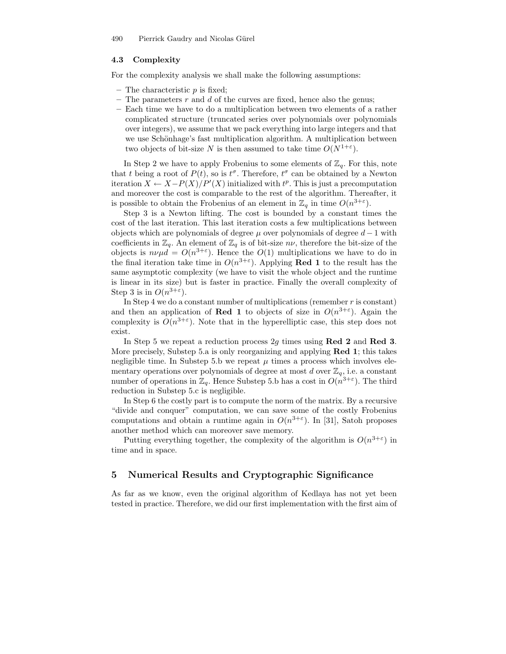#### 4.3 Complexity

For the complexity analysis we shall make the following assumptions:

- The characteristic  $p$  is fixed;
- The parameters  $r$  and  $d$  of the curves are fixed, hence also the genus;
- Each time we have to do a multiplication between two elements of a rather complicated structure (truncated series over polynomials over polynomials over integers), we assume that we pack everything into large integers and that we use Schönhage's fast multiplication algorithm. A multiplication between two objects of bit-size N is then assumed to take time  $O(N^{1+\varepsilon})$ .

In Step 2 we have to apply Frobenius to some elements of  $\mathbb{Z}_q$ . For this, note that t being a root of  $P(t)$ , so is  $t^{\sigma}$ . Therefore,  $t^{\sigma}$  can be obtained by a Newton iteration  $X \leftarrow X - P(X)/P'(X)$  initialized with  $t^p$ . This is just a precomputation and moreover the cost is comparable to the rest of the algorithm. Thereafter, it is possible to obtain the Frobenius of an element in  $\mathbb{Z}_q$  in time  $O(n^{3+\epsilon})$ .

Step 3 is a Newton lifting. The cost is bounded by a constant times the cost of the last iteration. This last iteration costs a few multiplications between objects which are polynomials of degree  $\mu$  over polynomials of degree  $d-1$  with coefficients in  $\mathbb{Z}_q$ . An element of  $\mathbb{Z}_q$  is of bit-size  $n\nu$ , therefore the bit-size of the objects is  $n\nu\mu d = O(n^{3+\epsilon})$ . Hence the  $O(1)$  multiplications we have to do in the final iteration take time in  $O(n^{3+\epsilon})$ . Applying **Red 1** to the result has the same asymptotic complexity (we have to visit the whole object and the runtime is linear in its size) but is faster in practice. Finally the overall complexity of Step 3 is in  $O(n^{3+\epsilon})$ .

In Step 4 we do a constant number of multiplications (remember  $r$  is constant) and then an application of **Red 1** to objects of size in  $O(n^{3+\epsilon})$ . Again the complexity is  $O(n^{3+\epsilon})$ . Note that in the hyperelliptic case, this step does not exist.

In Step 5 we repeat a reduction process  $2q$  times using Red 2 and Red 3. More precisely, Substep 5.a is only reorganizing and applying Red 1; this takes negligible time. In Substep 5.b we repeat  $\mu$  times a process which involves elementary operations over polynomials of degree at most  $d$  over  $\mathbb{Z}_q$ , i.e. a constant number of operations in  $\mathbb{Z}_q$ . Hence Substep 5.b has a cost in  $O(n^{3+\varepsilon})$ . The third reduction in Substep 5.c is negligible.

In Step 6 the costly part is to compute the norm of the matrix. By a recursive "divide and conquer" computation, we can save some of the costly Frobenius computations and obtain a runtime again in  $O(n^{3+\epsilon})$ . In [31], Satoh proposes another method which can moreover save memory.

Putting everything together, the complexity of the algorithm is  $O(n^{3+\epsilon})$  in time and in space.

# 5 Numerical Results and Cryptographic Significance

As far as we know, even the original algorithm of Kedlaya has not yet been tested in practice. Therefore, we did our first implementation with the first aim of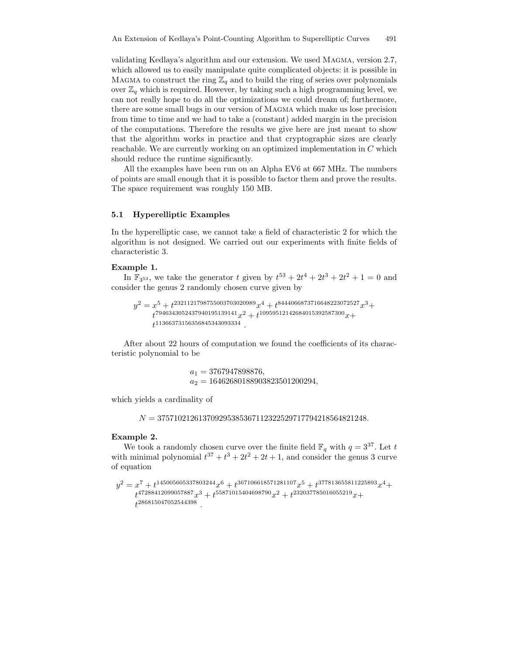validating Kedlaya's algorithm and our extension. We used Magma, version 2.7, which allowed us to easily manipulate quite complicated objects: it is possible in MAGMA to construct the ring  $\mathbb{Z}_q$  and to build the ring of series over polynomials over  $\mathbb{Z}_q$  which is required. However, by taking such a high programming level, we can not really hope to do all the optimizations we could dream of; furthermore, there are some small bugs in our version of Magma which make us lose precision from time to time and we had to take a (constant) added margin in the precision of the computations. Therefore the results we give here are just meant to show that the algorithm works in practice and that cryptographic sizes are clearly reachable. We are currently working on an optimized implementation in C which should reduce the runtime significantly.

All the examples have been run on an Alpha EV6 at 667 MHz. The numbers of points are small enough that it is possible to factor them and prove the results. The space requirement was roughly 150 MB.

### 5.1 Hyperelliptic Examples

In the hyperelliptic case, we cannot take a field of characteristic 2 for which the algorithm is not designed. We carried out our experiments with finite fields of characteristic 3.

#### Example 1.

In  $\mathbb{F}_{3^{53}}$ , we take the generator t given by  $t^{53} + 2t^4 + 2t^3 + 2t^2 + 1 = 0$  and consider the genus 2 randomly chosen curve given by

 $y^2 = x^5 + t^{2321121798755003703020989}x^4 + t^{8444066873716648223072527}x^3 +$  $t^{7946343052437940195139141}x^2 + t^{10959512142684015392587300}x +$  $t^{11366373156356845343093334}$ .

After about 22 hours of computation we found the coefficients of its characteristic polynomial to be

$$
\begin{array}{l} a_1=3767947898876,\\ a_2=16462680188903823501200294, \end{array}
$$

which yields a cardinality of

 $N = 375710212613709295385367112322529717794218564821248.$ 

#### Example 2.

We took a randomly chosen curve over the finite field  $\mathbb{F}_q$  with  $q = 3^{37}$ . Let t with minimal polynomial  $t^{37} + t^3 + 2t^2 + 2t + 1$ , and consider the genus 3 curve of equation

```
y^2 = x^7 + t^{145005605337803244}x^6 + t^{367106618571281107}x^5 + t^{377813655811225893}x^4 +t^{47288412099057887}x^3 + t^{55871015404698790}x^2 + t^{232037785016055219}x +t^{286815047052544398}.
```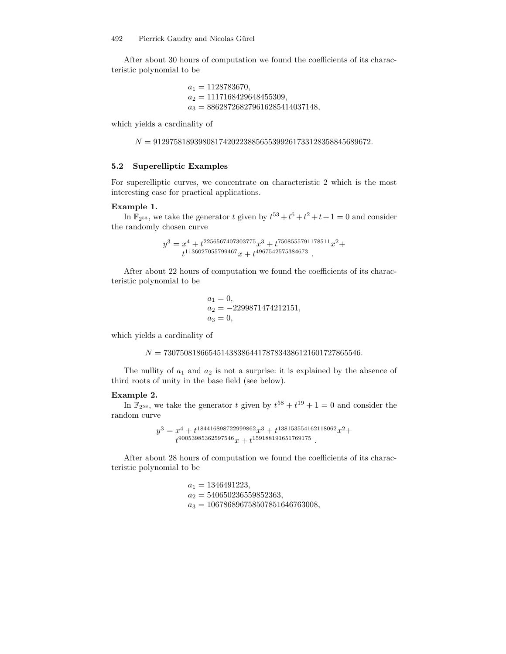After about 30 hours of computation we found the coefficients of its characteristic polynomial to be

```
a_1 = 1128783670,a_2 = 1117168429648455309,a_3 = 886287268279616285414037148,
```
which yields a cardinality of

 $N = 91297581893980817420223885655399261733128358845689672.$ 

### 5.2 Superelliptic Examples

For superelliptic curves, we concentrate on characteristic 2 which is the most interesting case for practical applications.

### Example 1.

In  $\mathbb{F}_{2^{53}}$ , we take the generator t given by  $t^{53} + t^6 + t^2 + t + 1 = 0$  and consider the randomly chosen curve

$$
y^3 = x^4 + t^{2256567407303775}x^3 + t^{7508555791178511}x^2 + \\ t^{1136027055799467}x + t^{4967542575384673} \ .
$$

After about 22 hours of computation we found the coefficients of its characteristic polynomial to be

$$
\begin{array}{l} a_1=0,\\ a_2=-2299871474212151,\\ a_3=0, \end{array}
$$

which yields a cardinality of

 $N = 730750818665451438386441787834386121601727865546.$ 

The nullity of  $a_1$  and  $a_2$  is not a surprise: it is explained by the absence of third roots of unity in the base field (see below).

### Example 2.

In  $\mathbb{F}_{2^{58}}$ , we take the generator t given by  $t^{58} + t^{19} + 1 = 0$  and consider the random curve

$$
y^3 = x^4 + t^{184416898722999862}x^3 + t^{138153554162118062}x^2 + \\ t^{90053985362597546}x + t^{159188191651769175}\;.
$$

After about 28 hours of computation we found the coefficients of its characteristic polynomial to be

```
a_1 = 1346491223,a_2 = 540650236559852363,a_3 = 106786896758507851646763008,
```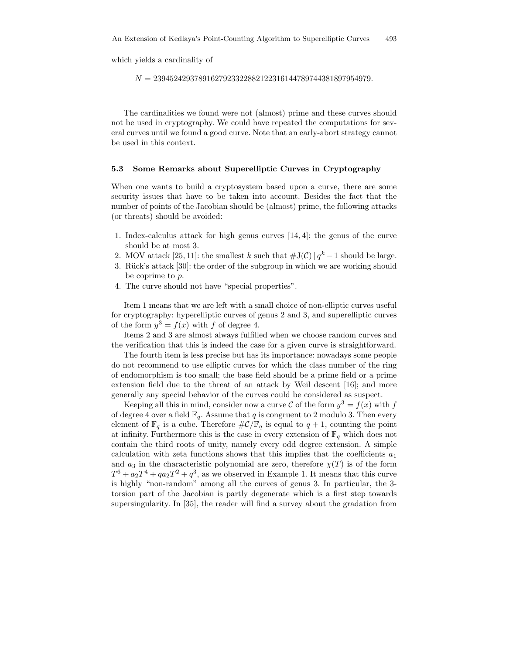which yields a cardinality of

 $N = 23945242937891627923322882122316144789744381897954979.$ 

The cardinalities we found were not (almost) prime and these curves should not be used in cryptography. We could have repeated the computations for several curves until we found a good curve. Note that an early-abort strategy cannot be used in this context.

### 5.3 Some Remarks about Superelliptic Curves in Cryptography

When one wants to build a cryptosystem based upon a curve, there are some security issues that have to be taken into account. Besides the fact that the number of points of the Jacobian should be (almost) prime, the following attacks (or threats) should be avoided:

- 1. Index-calculus attack for high genus curves [14, 4]: the genus of the curve should be at most 3.
- 2. MOV attack [25, 11]: the smallest k such that  $\#J(\mathcal{C})|q^k-1$  should be large.
- 3. Rück's attack  $[30]$ : the order of the subgroup in which we are working should be coprime to p.
- 4. The curve should not have "special properties".

Item 1 means that we are left with a small choice of non-elliptic curves useful for cryptography: hyperelliptic curves of genus 2 and 3, and superelliptic curves of the form  $y^3 = f(x)$  with f of degree 4.

Items 2 and 3 are almost always fulfilled when we choose random curves and the verification that this is indeed the case for a given curve is straightforward.

The fourth item is less precise but has its importance: nowadays some people do not recommend to use elliptic curves for which the class number of the ring of endomorphism is too small; the base field should be a prime field or a prime extension field due to the threat of an attack by Weil descent [16]; and more generally any special behavior of the curves could be considered as suspect.

Keeping all this in mind, consider now a curve  $\mathcal C$  of the form  $y^3 = f(x)$  with  $f$ of degree 4 over a field  $\mathbb{F}_q$ . Assume that q is congruent to 2 modulo 3. Then every element of  $\mathbb{F}_q$  is a cube. Therefore  $\#\mathcal{C}/\mathbb{F}_q$  is equal to  $q+1$ , counting the point at infinity. Furthermore this is the case in every extension of  $\mathbb{F}_q$  which does not contain the third roots of unity, namely every odd degree extension. A simple calculation with zeta functions shows that this implies that the coefficients  $a_1$ and  $a_3$  in the characteristic polynomial are zero, therefore  $\chi(T)$  is of the form  $T^6 + a_2T^4 + qa_2T^2 + q^3$ , as we observed in Example 1. It means that this curve is highly "non-random" among all the curves of genus 3. In particular, the 3 torsion part of the Jacobian is partly degenerate which is a first step towards supersingularity. In [35], the reader will find a survey about the gradation from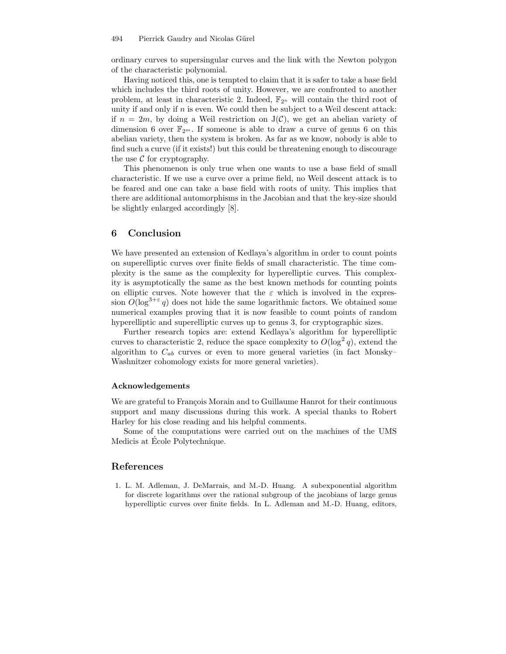ordinary curves to supersingular curves and the link with the Newton polygon of the characteristic polynomial.

Having noticed this, one is tempted to claim that it is safer to take a base field which includes the third roots of unity. However, we are confronted to another problem, at least in characteristic 2. Indeed,  $\mathbb{F}_{2^n}$  will contain the third root of unity if and only if  $n$  is even. We could then be subject to a Weil descent attack: if  $n = 2m$ , by doing a Weil restriction on  $J(\mathcal{C})$ , we get an abelian variety of dimension 6 over  $\mathbb{F}_{2^m}$ . If someone is able to draw a curve of genus 6 on this abelian variety, then the system is broken. As far as we know, nobody is able to find such a curve (if it exists!) but this could be threatening enough to discourage the use  $\mathcal C$  for cryptography.

This phenomenon is only true when one wants to use a base field of small characteristic. If we use a curve over a prime field, no Weil descent attack is to be feared and one can take a base field with roots of unity. This implies that there are additional automorphisms in the Jacobian and that the key-size should be slightly enlarged accordingly [8].

# 6 Conclusion

We have presented an extension of Kedlaya's algorithm in order to count points on superelliptic curves over finite fields of small characteristic. The time complexity is the same as the complexity for hyperelliptic curves. This complexity is asymptotically the same as the best known methods for counting points on elliptic curves. Note however that the  $\varepsilon$  which is involved in the expression  $O(\log^{3+\varepsilon} q)$  does not hide the same logarithmic factors. We obtained some numerical examples proving that it is now feasible to count points of random hyperelliptic and superelliptic curves up to genus 3, for cryptographic sizes.

Further research topics are: extend Kedlaya's algorithm for hyperelliptic curves to characteristic 2, reduce the space complexity to  $O(\log^2 q)$ , extend the algorithm to  $C_{ab}$  curves or even to more general varieties (in fact Monsky– Washnitzer cohomology exists for more general varieties).

### Acknowledgements

We are grateful to François Morain and to Guillaume Hanrot for their continuous support and many discussions during this work. A special thanks to Robert Harley for his close reading and his helpful comments.

Some of the computations were carried out on the machines of the UMS Medicis at École Polytechnique.

### References

1. L. M. Adleman, J. DeMarrais, and M.-D. Huang. A subexponential algorithm for discrete logarithms over the rational subgroup of the jacobians of large genus hyperelliptic curves over finite fields. In L. Adleman and M.-D. Huang, editors,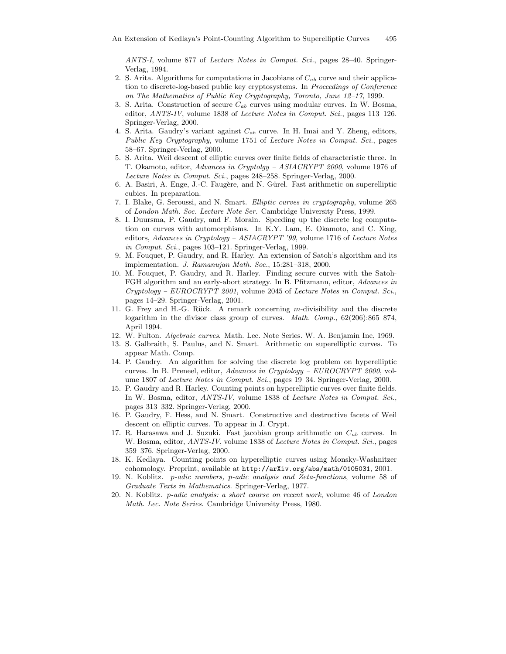ANTS-I, volume 877 of Lecture Notes in Comput. Sci., pages 28–40. Springer-Verlag, 1994.

- 2. S. Arita. Algorithms for computations in Jacobians of  $C_{ab}$  curve and their application to discrete-log-based public key cryptosystems. In Proceedings of Conference on The Mathematics of Public Key Cryptography, Toronto, June 12–17, 1999.
- 3. S. Arita. Construction of secure  $C_{ab}$  curves using modular curves. In W. Bosma, editor, ANTS-IV, volume 1838 of Lecture Notes in Comput. Sci., pages 113–126. Springer-Verlag, 2000.
- 4. S. Arita. Gaudry's variant against  $C_{ab}$  curve. In H. Imai and Y. Zheng, editors, Public Key Cryptography, volume 1751 of Lecture Notes in Comput. Sci., pages 58–67. Springer-Verlag, 2000.
- 5. S. Arita. Weil descent of elliptic curves over finite fields of characteristic three. In T. Okamoto, editor, Advances in Cryptolgy – ASIACRYPT 2000, volume 1976 of Lecture Notes in Comput. Sci., pages 248–258. Springer-Verlag, 2000.
- 6. A. Basiri, A. Enge, J.-C. Faugère, and N. Gürel. Fast arithmetic on superelliptic cubics. In preparation.
- 7. I. Blake, G. Seroussi, and N. Smart. Elliptic curves in cryptography, volume 265 of London Math. Soc. Lecture Note Ser. Cambridge University Press, 1999.
- 8. I. Duursma, P. Gaudry, and F. Morain. Speeding up the discrete log computation on curves with automorphisms. In K.Y. Lam, E. Okamoto, and C. Xing, editors, Advances in Cryptology – ASIACRYPT '99, volume 1716 of Lecture Notes in Comput. Sci., pages 103–121. Springer-Verlag, 1999.
- 9. M. Fouquet, P. Gaudry, and R. Harley. An extension of Satoh's algorithm and its implementation. J. Ramanujan Math. Soc., 15:281–318, 2000.
- 10. M. Fouquet, P. Gaudry, and R. Harley. Finding secure curves with the Satoh-FGH algorithm and an early-abort strategy. In B. Pfitzmann, editor, Advances in Cryptology – EUROCRYPT 2001, volume 2045 of Lecture Notes in Comput. Sci., pages 14–29. Springer-Verlag, 2001.
- 11. G. Frey and H.-G. Rück. A remark concerning  $m$ -divisibility and the discrete logarithm in the divisor class group of curves. Math. Comp., 62(206):865–874, April 1994.
- 12. W. Fulton. Algebraic curves. Math. Lec. Note Series. W. A. Benjamin Inc, 1969.
- 13. S. Galbraith, S. Paulus, and N. Smart. Arithmetic on superelliptic curves. To appear Math. Comp.
- 14. P. Gaudry. An algorithm for solving the discrete log problem on hyperelliptic curves. In B. Preneel, editor, Advances in Cryptology – EUROCRYPT 2000, volume 1807 of Lecture Notes in Comput. Sci., pages 19-34. Springer-Verlag, 2000.
- 15. P. Gaudry and R. Harley. Counting points on hyperelliptic curves over finite fields. In W. Bosma, editor, ANTS-IV, volume 1838 of Lecture Notes in Comput. Sci., pages 313–332. Springer-Verlag, 2000.
- 16. P. Gaudry, F. Hess, and N. Smart. Constructive and destructive facets of Weil descent on elliptic curves. To appear in J. Crypt.
- 17. R. Harasawa and J. Suzuki. Fast jacobian group arithmetic on  $C_{ab}$  curves. In W. Bosma, editor, ANTS-IV, volume 1838 of Lecture Notes in Comput. Sci., pages 359–376. Springer-Verlag, 2000.
- 18. K. Kedlaya. Counting points on hyperelliptic curves using Monsky-Washnitzer cohomology. Preprint, available at http://arXiv.org/abs/math/0105031, 2001.
- 19. N. Koblitz. p-adic numbers, p-adic analysis and Zeta-functions, volume 58 of Graduate Texts in Mathematics. Springer-Verlag, 1977.
- 20. N. Koblitz. p-adic analysis: a short course on recent work, volume 46 of London Math. Lec. Note Series. Cambridge University Press, 1980.